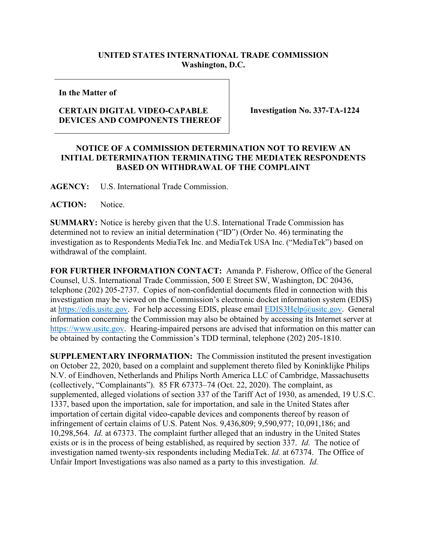## **UNITED STATES INTERNATIONAL TRADE COMMISSION Washington, D.C.**

**In the Matter of**

## **CERTAIN DIGITAL VIDEO-CAPABLE DEVICES AND COMPONENTS THEREOF**

**Investigation No. 337-TA-1224**

## **NOTICE OF A COMMISSION DETERMINATION NOT TO REVIEW AN INITIAL DETERMINATION TERMINATING THE MEDIATEK RESPONDENTS BASED ON WITHDRAWAL OF THE COMPLAINT**

**AGENCY:** U.S. International Trade Commission.

**ACTION:** Notice.

**SUMMARY:** Notice is hereby given that the U.S. International Trade Commission has determined not to review an initial determination ("ID") (Order No. 46) terminating the investigation as to Respondents MediaTek Inc. and MediaTek USA Inc. ("MediaTek") based on withdrawal of the complaint.

**FOR FURTHER INFORMATION CONTACT:** Amanda P. Fisherow, Office of the General Counsel, U.S. International Trade Commission, 500 E Street SW, Washington, DC 20436, telephone (202) 205-2737. Copies of non-confidential documents filed in connection with this investigation may be viewed on the Commission's electronic docket information system (EDIS) at [https://edis.usitc.gov.](https://edis.usitc.gov/) For help accessing EDIS, please email [EDIS3Help@usitc.gov.](mailto:EDIS3Help@usitc.gov) General information concerning the Commission may also be obtained by accessing its Internet server at [https://www.usitc.gov.](https://www.usitc.gov/) Hearing-impaired persons are advised that information on this matter can be obtained by contacting the Commission's TDD terminal, telephone (202) 205-1810.

**SUPPLEMENTARY INFORMATION:** The Commission instituted the present investigation on October 22, 2020, based on a complaint and supplement thereto filed by Koninklijke Philips N.V. of Eindhoven, Netherlands and Philips North America LLC of Cambridge, Massachusetts (collectively, "Complainants"). 85 FR 67373–74 (Oct. 22, 2020). The complaint, as supplemented, alleged violations of section 337 of the Tariff Act of 1930, as amended, 19 U.S.C. 1337, based upon the importation, sale for importation, and sale in the United States after importation of certain digital video-capable devices and components thereof by reason of infringement of certain claims of U.S. Patent Nos. 9,436,809; 9,590,977; 10,091,186; and 10,298,564. *Id.* at 67373. The complaint further alleged that an industry in the United States exists or is in the process of being established, as required by section 337. *Id.* The notice of investigation named twenty-six respondents including MediaTek. *Id.* at 67374. The Office of Unfair Import Investigations was also named as a party to this investigation. *Id.*